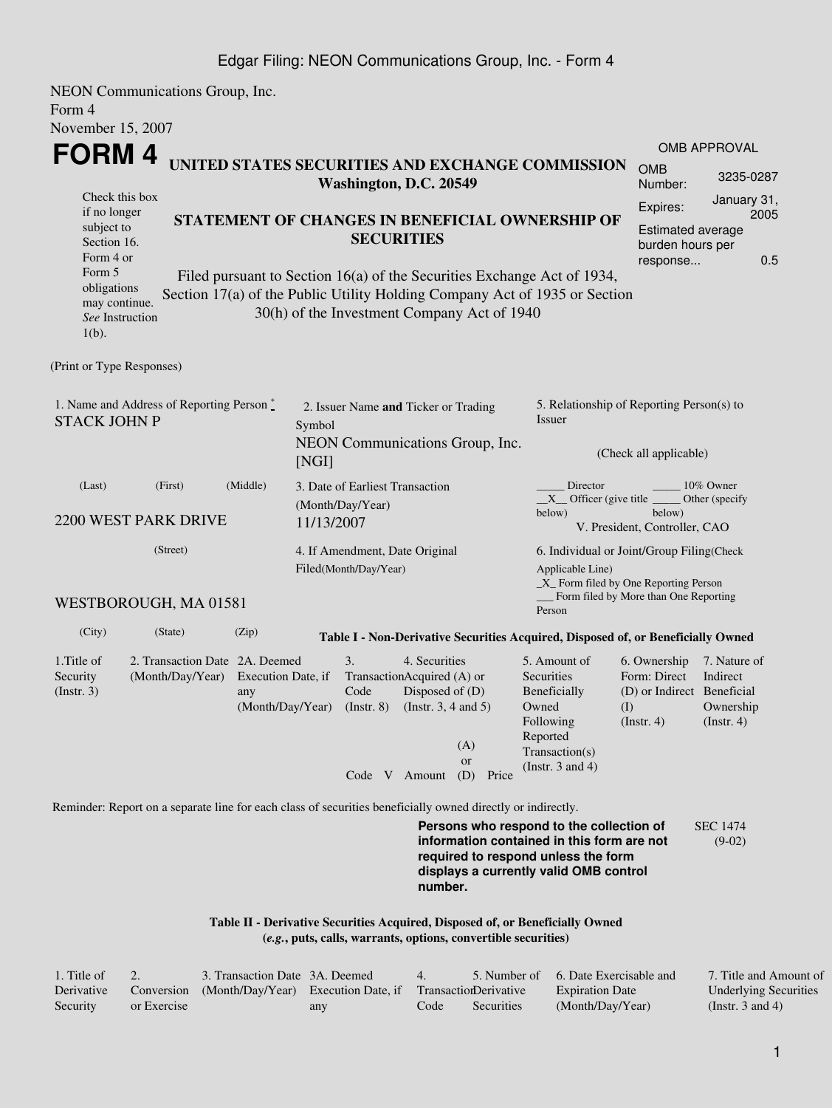NEON Communications Group, Inc. Form 4 November 15, 2007

| <b>FORM4</b><br>UNITED STATES SECURITIES AND EXCHANGE COMMISSION                                                                                                                                                                                                              |                                                          |                                                                   |                                                                                                                              |                                                                                                                         |                                                                                       | <b>OMB APPROVAL</b>                                  |  |  |
|-------------------------------------------------------------------------------------------------------------------------------------------------------------------------------------------------------------------------------------------------------------------------------|----------------------------------------------------------|-------------------------------------------------------------------|------------------------------------------------------------------------------------------------------------------------------|-------------------------------------------------------------------------------------------------------------------------|---------------------------------------------------------------------------------------|------------------------------------------------------|--|--|
|                                                                                                                                                                                                                                                                               | <b>OMB</b><br>Number:                                    | 3235-0287                                                         |                                                                                                                              |                                                                                                                         |                                                                                       |                                                      |  |  |
| Washington, D.C. 20549<br>Check this box<br>if no longer<br>STATEMENT OF CHANGES IN BENEFICIAL OWNERSHIP OF                                                                                                                                                                   |                                                          |                                                                   |                                                                                                                              |                                                                                                                         |                                                                                       | January 31,<br>2005                                  |  |  |
| subject to<br>Section 16.<br>Form 4 or                                                                                                                                                                                                                                        | <b>Estimated average</b><br>burden hours per<br>response | 0.5                                                               |                                                                                                                              |                                                                                                                         |                                                                                       |                                                      |  |  |
| Form 5<br>Filed pursuant to Section 16(a) of the Securities Exchange Act of 1934,<br>obligations<br>Section 17(a) of the Public Utility Holding Company Act of 1935 or Section<br>may continue.<br>30(h) of the Investment Company Act of 1940<br>See Instruction<br>$1(b)$ . |                                                          |                                                                   |                                                                                                                              |                                                                                                                         |                                                                                       |                                                      |  |  |
| (Print or Type Responses)                                                                                                                                                                                                                                                     |                                                          |                                                                   |                                                                                                                              |                                                                                                                         |                                                                                       |                                                      |  |  |
| 1. Name and Address of Reporting Person*<br><b>STACK JOHN P</b>                                                                                                                                                                                                               |                                                          | Symbol                                                            | 2. Issuer Name and Ticker or Trading                                                                                         | Issuer                                                                                                                  | 5. Relationship of Reporting Person(s) to                                             |                                                      |  |  |
|                                                                                                                                                                                                                                                                               |                                                          | [NGI]                                                             | NEON Communications Group, Inc.                                                                                              |                                                                                                                         | (Check all applicable)                                                                |                                                      |  |  |
| (Last)<br>(First)<br>2200 WEST PARK DRIVE                                                                                                                                                                                                                                     | (Middle)                                                 | 3. Date of Earliest Transaction<br>(Month/Day/Year)<br>11/13/2007 |                                                                                                                              | Director<br>$X$ Officer (give title $\overline{\phantom{a}}$<br>below)                                                  | below)<br>V. President, Controller, CAO                                               | 10% Owner<br>Other (specify                          |  |  |
| (Street)                                                                                                                                                                                                                                                                      |                                                          | 4. If Amendment, Date Original<br>Filed(Month/Day/Year)           |                                                                                                                              | Applicable Line)                                                                                                        | 6. Individual or Joint/Group Filing(Check<br>_X_ Form filed by One Reporting Person   |                                                      |  |  |
| WESTBOROUGH, MA 01581                                                                                                                                                                                                                                                         |                                                          |                                                                   |                                                                                                                              | Form filed by More than One Reporting<br>Person                                                                         |                                                                                       |                                                      |  |  |
| (City)<br>(State)                                                                                                                                                                                                                                                             | (Zip)                                                    |                                                                   |                                                                                                                              | Table I - Non-Derivative Securities Acquired, Disposed of, or Beneficially Owned                                        |                                                                                       |                                                      |  |  |
| 2. Transaction Date 2A. Deemed<br>1. Title of<br>(Month/Day/Year)<br>Security<br>(Insert. 3)                                                                                                                                                                                  | Execution Date, if<br>any<br>(Month/Day/Year)            | 3.<br>Code<br>$($ Instr. $8)$<br>$C_1$ $I$ $I$ $I$                | 4. Securities<br>TransactionAcquired (A) or<br>Disposed of (D)<br>(Instr. $3, 4$ and $5$ )<br>(A)<br><b>or</b><br>$\sqrt{D}$ | 5. Amount of<br>Securities<br>Beneficially<br>Owned<br>Following<br>Reported<br>Transaction(s)<br>(Instr. $3$ and $4$ ) | 6. Ownership<br>Form: Direct<br>(D) or Indirect Beneficial<br>(I)<br>$($ Instr. 4 $)$ | 7. Nature of<br>Indirect<br>Ownership<br>(Insert. 4) |  |  |

Reminder: Report on a separate line for each class of securities beneficially owned directly or indirectly.

**Persons who respond to the collection of information contained in this form are not required to respond unless the form displays a currently valid OMB control number.** SEC 1474 (9-02)

#### **Table II - Derivative Securities Acquired, Disposed of, or Beneficially Owned (***e.g.***, puts, calls, warrants, options, convertible securities)**

Code V Amount (D) Price

| 1. Title of |             | 3. Transaction Date 3A. Deemed                                        |     | $\Delta$ |            | 5. Number of 6. Date Exercisable and | 7. Title and Amount of       |
|-------------|-------------|-----------------------------------------------------------------------|-----|----------|------------|--------------------------------------|------------------------------|
| Derivative  |             | Conversion (Month/Day/Year) Execution Date, if Transaction Derivative |     |          |            | <b>Expiration Date</b>               | <b>Underlying Securities</b> |
| Security    | or Exercise |                                                                       | any | Code     | Securities | (Month/Day/Year)                     | (Instr. 3 and 4)             |